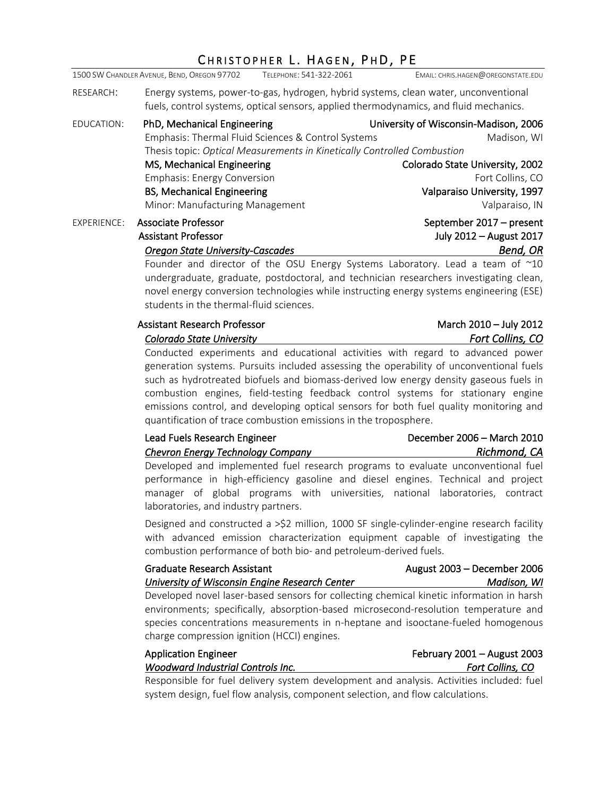# CHRISTOPHER L. HAGEN, PHD, PE

|             | 1500 SW CHANDLER AVENUE, BEND, OREGON 97702                                                                                                                                                                                                                                                                                                                                                                                                                                                     | TELEPHONE: 541-322-2061 | EMAIL: CHRIS.HAGEN@OREGONSTATE.EDU                                                                                                                                                                                                                                                                                                    |
|-------------|-------------------------------------------------------------------------------------------------------------------------------------------------------------------------------------------------------------------------------------------------------------------------------------------------------------------------------------------------------------------------------------------------------------------------------------------------------------------------------------------------|-------------------------|---------------------------------------------------------------------------------------------------------------------------------------------------------------------------------------------------------------------------------------------------------------------------------------------------------------------------------------|
| RESEARCH:   |                                                                                                                                                                                                                                                                                                                                                                                                                                                                                                 |                         | Energy systems, power-to-gas, hydrogen, hybrid systems, clean water, unconventional<br>fuels, control systems, optical sensors, applied thermodynamics, and fluid mechanics.                                                                                                                                                          |
| EDUCATION:  | PhD, Mechanical Engineering<br>Emphasis: Thermal Fluid Sciences & Control Systems<br>Thesis topic: Optical Measurements in Kinetically Controlled Combustion<br>MS, Mechanical Engineering<br><b>Emphasis: Energy Conversion</b><br><b>BS, Mechanical Engineering</b><br>Minor: Manufacturing Management                                                                                                                                                                                        |                         | University of Wisconsin-Madison, 2006<br>Madison, WI<br>Colorado State University, 2002<br>Fort Collins, CO<br>Valparaiso University, 1997<br>Valparaiso, IN                                                                                                                                                                          |
| EXPERIENCE: | <b>Associate Professor</b><br>September 2017 - present<br>July 2012 - August 2017<br><b>Assistant Professor</b><br>Bend, OR<br><b>Oregon State University-Cascades</b><br>Founder and director of the OSU Energy Systems Laboratory. Lead a team of $^{\sim}10$<br>undergraduate, graduate, postdoctoral, and technician researchers investigating clean,<br>novel energy conversion technologies while instructing energy systems engineering (ESE)<br>students in the thermal-fluid sciences. |                         |                                                                                                                                                                                                                                                                                                                                       |
|             | <b>Assistant Research Professor</b><br>Colorado State University                                                                                                                                                                                                                                                                                                                                                                                                                                |                         | March 2010 - July 2012<br>Fort Collins, CO<br>Conducted experiments and educational activities with regard to advanced power<br>generation systems. Pursuits included assessing the operability of unconventional fuels<br>المزا والمرزال ورزوموهم برطنوموا ويسموهم يرزوا اومرشوها وموموونا الممرو وامرائهنا المطوموطوماوريط ومرطورية |

such as hydrotreated biofuels and biomass-derived low energy density gaseous fuels in combustion engines, field-testing feedback control systems for stationary engine emissions control, and developing optical sensors for both fuel quality monitoring and quantification of trace combustion emissions in the troposphere.

| Lead Fuels Research Engineer      | December 2006 - March 2010 |
|-----------------------------------|----------------------------|
| Chevron Energy Technology Company | Richmond, CA               |

Developed and implemented fuel research programs to evaluate unconventional fuel performance in high-efficiency gasoline and diesel engines. Technical and project manager of global programs with universities, national laboratories, contract laboratories, and industry partners.

Designed and constructed a >\$2 million, 1000 SF single-cylinder-engine research facility with advanced emission characterization equipment capable of investigating the combustion performance of both bio- and petroleum-derived fuels.

| <b>Graduate Research Assistant</b>                                                        | August 2003 - December 2006 |
|-------------------------------------------------------------------------------------------|-----------------------------|
| University of Wisconsin Engine Research Center                                            | Madison. WI                 |
| Davidanad naval lagar hasad sansang fan sellasting shamisel binatis information in handel |                             |

Developed novel laser-based sensors for collecting chemical kinetic information in harsh environments; specifically, absorption-based microsecond-resolution temperature and species concentrations measurements in n-heptane and isooctane-fueled homogenous charge compression ignition (HCCI) engines.

| <b>Application Engineer</b>              | February $2001 -$ August 2003 |
|------------------------------------------|-------------------------------|
| <b>Woodward Industrial Controls Inc.</b> | <b>Fort Collins, CO</b>       |
| $\sim$ $\sim$                            | .                             |

Responsible for fuel delivery system development and analysis. Activities included: fuel system design, fuel flow analysis, component selection, and flow calculations.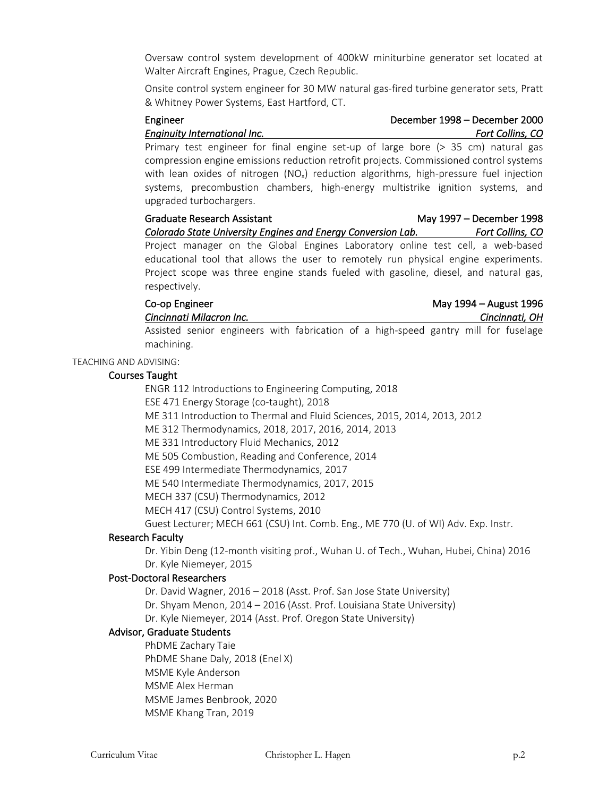Oversaw control system development of 400kW miniturbine generator set located at Walter Aircraft Engines, Prague, Czech Republic.

Onsite control system engineer for 30 MW natural gas-fired turbine generator sets, Pratt & Whitney Power Systems, East Hartford, CT.

## Engineer December 1998 – December 2000 *Enginuity International Inc. Fort Collins, CO*

Primary test engineer for final engine set-up of large bore (> 35 cm) natural gas compression engine emissions reduction retrofit projects. Commissioned control systems with lean oxides of nitrogen  $(NO<sub>x</sub>)$  reduction algorithms, high-pressure fuel injection systems, precombustion chambers, high-energy multistrike ignition systems, and upgraded turbochargers.

Graduate Research Assistant May 1997 – December 1998 *Colorado State University Engines and Energy Conversion Lab. Fort Collins, CO*  Project manager on the Global Engines Laboratory online test cell, a web-based educational tool that allows the user to remotely run physical engine experiments. Project scope was three engine stands fueled with gasoline, diesel, and natural gas, respectively.

Co-op Engineer May 1994 – August 1996 *Cincinnati Milacron Inc. Cincinnati, OH* 

Assisted senior engineers with fabrication of a high-speed gantry mill for fuselage machining.

#### TEACHING AND ADVISING:

# Courses Taught

ENGR 112 Introductions to Engineering Computing, 2018 ESE 471 Energy Storage (co-taught), 2018 ME 311 Introduction to Thermal and Fluid Sciences, 2015, 2014, 2013, 2012 ME 312 Thermodynamics, 2018, 2017, 2016, 2014, 2013 ME 331 Introductory Fluid Mechanics, 2012 ME 505 Combustion, Reading and Conference, 2014 ESE 499 Intermediate Thermodynamics, 2017 ME 540 Intermediate Thermodynamics, 2017, 2015 MECH 337 (CSU) Thermodynamics, 2012 MECH 417 (CSU) Control Systems, 2010

Guest Lecturer; MECH 661 (CSU) Int. Comb. Eng., ME 770 (U. of WI) Adv. Exp. Instr.

# Research Faculty

 Dr. Yibin Deng (12-month visiting prof., Wuhan U. of Tech., Wuhan, Hubei, China) 2016 Dr. Kyle Niemeyer, 2015

### Post-Doctoral Researchers

Dr. David Wagner, 2016 – 2018 (Asst. Prof. San Jose State University) Dr. Shyam Menon, 2014 – 2016 (Asst. Prof. Louisiana State University) Dr. Kyle Niemeyer, 2014 (Asst. Prof. Oregon State University)

### Advisor, Graduate Students

PhDME Zachary Taie PhDME Shane Daly, 2018 (Enel X) MSME Kyle Anderson MSME Alex Herman MSME James Benbrook, 2020 MSME Khang Tran, 2019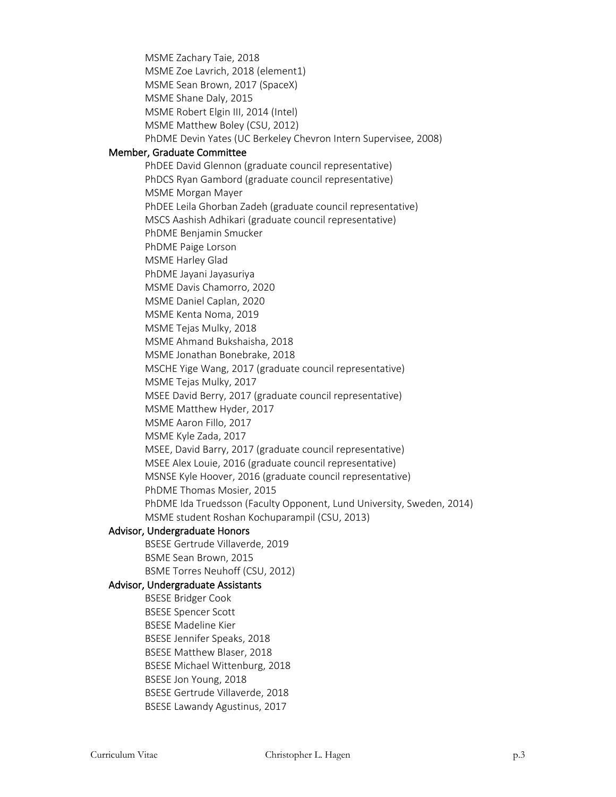MSME Zachary Taie, 2018 MSME Zoe Lavrich, 2018 (element1) MSME Sean Brown, 2017 (SpaceX) MSME Shane Daly, 2015 MSME Robert Elgin III, 2014 (Intel) MSME Matthew Boley (CSU, 2012) PhDME Devin Yates (UC Berkeley Chevron Intern Supervisee, 2008) Member, Graduate Committee PhDEE David Glennon (graduate council representative) PhDCS Ryan Gambord (graduate council representative) MSME Morgan Mayer PhDEE Leila Ghorban Zadeh (graduate council representative) MSCS Aashish Adhikari (graduate council representative) PhDME Benjamin Smucker PhDME Paige Lorson MSME Harley Glad PhDME Jayani Jayasuriya MSME Davis Chamorro, 2020 MSME Daniel Caplan, 2020 MSME Kenta Noma, 2019 MSME Tejas Mulky, 2018 MSME Ahmand Bukshaisha, 2018 MSME Jonathan Bonebrake, 2018 MSCHE Yige Wang, 2017 (graduate council representative) MSME Tejas Mulky, 2017 MSEE David Berry, 2017 (graduate council representative) MSME Matthew Hyder, 2017 MSME Aaron Fillo, 2017 MSME Kyle Zada, 2017 MSEE, David Barry, 2017 (graduate council representative) MSEE Alex Louie, 2016 (graduate council representative) MSNSE Kyle Hoover, 2016 (graduate council representative) PhDME Thomas Mosier, 2015 PhDME Ida Truedsson (Faculty Opponent, Lund University, Sweden, 2014) MSME student Roshan Kochuparampil (CSU, 2013) Advisor, Undergraduate Honors BSESE Gertrude Villaverde, 2019 BSME Sean Brown, 2015 BSME Torres Neuhoff (CSU, 2012) Advisor, Undergraduate Assistants BSESE Bridger Cook BSESE Spencer Scott BSESE Madeline Kier BSESE Jennifer Speaks, 2018 BSESE Matthew Blaser, 2018 BSESE Michael Wittenburg, 2018 BSESE Jon Young, 2018 BSESE Gertrude Villaverde, 2018 BSESE Lawandy Agustinus, 2017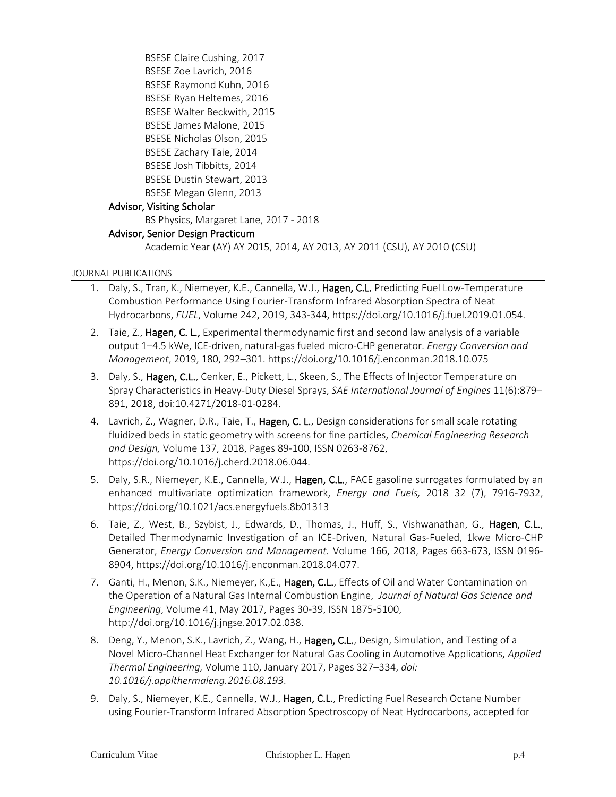BSESE Claire Cushing, 2017 BSESE Zoe Lavrich, 2016 BSESE Raymond Kuhn, 2016 BSESE Ryan Heltemes, 2016 BSESE Walter Beckwith, 2015 BSESE James Malone, 2015 BSESE Nicholas Olson, 2015 BSESE Zachary Taie, 2014 BSESE Josh Tibbitts, 2014 BSESE Dustin Stewart, 2013 BSESE Megan Glenn, 2013 Advisor, Visiting Scholar BS Physics, Margaret Lane, 2017 - 2018

# Advisor, Senior Design Practicum

Academic Year (AY) AY 2015, 2014, AY 2013, AY 2011 (CSU), AY 2010 (CSU)

### JOURNAL PUBLICATIONS

- 1. Daly, S., Tran, K., Niemeyer, K.E., Cannella, W.J., Hagen, C.L. Predicting Fuel Low-Temperature Combustion Performance Using Fourier-Transform Infrared Absorption Spectra of Neat Hydrocarbons, *FUEL*, Volume 242, 2019, 343-344, https://doi.org/10.1016/j.fuel.2019.01.054.
- 2. Taie, Z., Hagen, C. L., Experimental thermodynamic first and second law analysis of a variable output 1–4.5 kWe, ICE-driven, natural-gas fueled micro-CHP generator. *Energy Conversion and Management*, 2019, 180, 292–301. https://doi.org/10.1016/j.enconman.2018.10.075
- 3. Daly, S., Hagen, C.L., Cenker, E., Pickett, L., Skeen, S., The Effects of Injector Temperature on Spray Characteristics in Heavy-Duty Diesel Sprays, *SAE International Journal of Engines* 11(6):879– 891, 2018, doi:10.4271/2018-01-0284.
- 4. Lavrich, Z., Wagner, D.R., Taie, T., Hagen, C. L., Design considerations for small scale rotating fluidized beds in static geometry with screens for fine particles, *Chemical Engineering Research and Design,* Volume 137, 2018, Pages 89-100, ISSN 0263-8762, https://doi.org/10.1016/j.cherd.2018.06.044.
- 5. Daly, S.R., Niemeyer, K.E., Cannella, W.J., Hagen, C.L., FACE gasoline surrogates formulated by an enhanced multivariate optimization framework, *Energy and Fuels,* 2018 32 (7), 7916-7932, https://doi.org/10.1021/acs.energyfuels.8b01313
- 6. Taie, Z., West, B., Szybist, J., Edwards, D., Thomas, J., Huff, S., Vishwanathan, G., Hagen, C.L., Detailed Thermodynamic Investigation of an ICE-Driven, Natural Gas-Fueled, 1kwe Micro-CHP Generator, *Energy Conversion and Management.* Volume 166, 2018, Pages 663-673, ISSN 0196- 8904, https://doi.org/10.1016/j.enconman.2018.04.077.
- 7. Ganti, H., Menon, S.K., Niemeyer, K., E., Hagen, C.L., Effects of Oil and Water Contamination on the Operation of a Natural Gas Internal Combustion Engine, *Journal of Natural Gas Science and Engineering*, Volume 41, May 2017, Pages 30-39, ISSN 1875-5100, http://doi.org/10.1016/j.jngse.2017.02.038.
- 8. Deng, Y., Menon, S.K., Lavrich, Z., Wang, H., Hagen, C.L., Design, Simulation, and Testing of a Novel Micro-Channel Heat Exchanger for Natural Gas Cooling in Automotive Applications, *Applied Thermal Engineering,* Volume 110, January 2017, Pages 327–334, *doi: 10.1016/j.applthermaleng.2016.08.193*.
- 9. Daly, S., Niemeyer, K.E., Cannella, W.J., Hagen, C.L., Predicting Fuel Research Octane Number using Fourier-Transform Infrared Absorption Spectroscopy of Neat Hydrocarbons, accepted for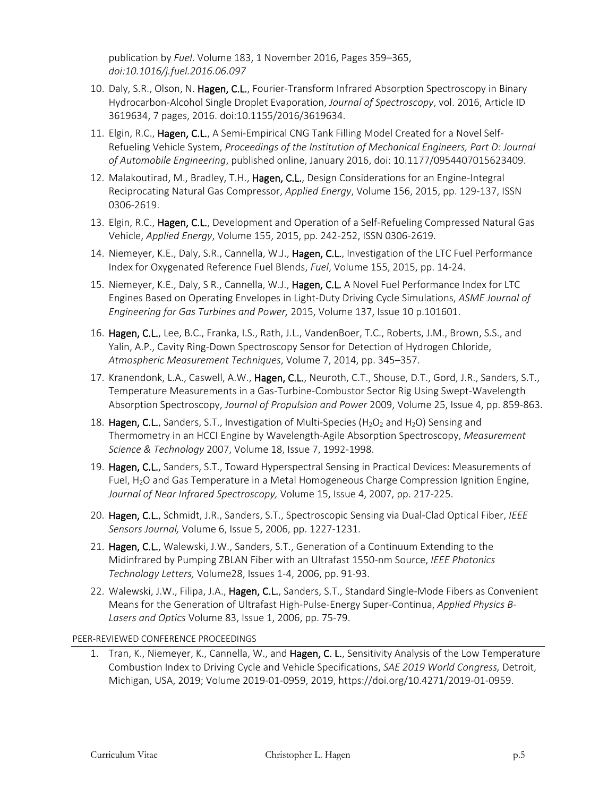publication by *Fuel*. Volume 183, 1 November 2016, Pages 359–365, *doi:10.1016/j.fuel.2016.06.097*

- 10. Daly, S.R., Olson, N. Hagen, C.L., Fourier-Transform Infrared Absorption Spectroscopy in Binary Hydrocarbon-Alcohol Single Droplet Evaporation, *Journal of Spectroscopy*, vol. 2016, Article ID 3619634, 7 pages, 2016. doi:10.1155/2016/3619634.
- 11. Elgin, R.C., Hagen, C.L., A Semi-Empirical CNG Tank Filling Model Created for a Novel Self-Refueling Vehicle System, *Proceedings of the Institution of Mechanical Engineers, Part D: Journal of Automobile Engineering*, published online, January 2016, doi: 10.1177/0954407015623409.
- 12. Malakoutirad, M., Bradley, T.H., Hagen, C.L., Design Considerations for an Engine-Integral Reciprocating Natural Gas Compressor, *Applied Energy*, Volume 156, 2015, pp. 129-137, ISSN 0306-2619.
- 13. Elgin, R.C., Hagen, C.L., Development and Operation of a Self-Refueling Compressed Natural Gas Vehicle, *Applied Energy*, Volume 155, 2015, pp. 242-252, ISSN 0306-2619.
- 14. Niemeyer, K.E., Daly, S.R., Cannella, W.J., Hagen, C.L., Investigation of the LTC Fuel Performance Index for Oxygenated Reference Fuel Blends, *Fuel*, Volume 155, 2015, pp. 14-24.
- 15. Niemeyer, K.E., Daly, S R., Cannella, W.J., Hagen, C.L. A Novel Fuel Performance Index for LTC Engines Based on Operating Envelopes in Light-Duty Driving Cycle Simulations, *ASME Journal of Engineering for Gas Turbines and Power,* 2015, Volume 137, Issue 10 p.101601.
- 16. Hagen, C.L., Lee, B.C., Franka, I.S., Rath, J.L., VandenBoer, T.C., Roberts, J.M., Brown, S.S., and Yalin, A.P., Cavity Ring-Down Spectroscopy Sensor for Detection of Hydrogen Chloride, *Atmospheric Measurement Techniques*, Volume 7, 2014, pp. 345–357.
- 17. Kranendonk, L.A., Caswell, A.W., Hagen, C.L., Neuroth, C.T., Shouse, D.T., Gord, J.R., Sanders, S.T., Temperature Measurements in a Gas-Turbine-Combustor Sector Rig Using Swept-Wavelength Absorption Spectroscopy, *Journal of Propulsion and Power* 2009, Volume 25, Issue 4, pp. 859-863.
- 18. Hagen, C.L., Sanders, S.T., Investigation of Multi-Species (H<sub>2</sub>O<sub>2</sub> and H<sub>2</sub>O) Sensing and Thermometry in an HCCI Engine by Wavelength-Agile Absorption Spectroscopy, *Measurement Science & Technology* 2007, Volume 18, Issue 7, 1992-1998.
- 19. Hagen, C.L., Sanders, S.T., Toward Hyperspectral Sensing in Practical Devices: Measurements of Fuel,  $H<sub>2</sub>O$  and Gas Temperature in a Metal Homogeneous Charge Compression Ignition Engine, *Journal of Near Infrared Spectroscopy,* Volume 15, Issue 4, 2007, pp. 217-225.
- 20. Hagen, C.L., Schmidt, J.R., Sanders, S.T., Spectroscopic Sensing via Dual-Clad Optical Fiber, *IEEE Sensors Journal,* Volume 6, Issue 5, 2006, pp. 1227-1231.
- 21. Hagen, C.L., Walewski, J.W., Sanders, S.T., Generation of a Continuum Extending to the Midinfrared by Pumping ZBLAN Fiber with an Ultrafast 1550-nm Source, *IEEE Photonics Technology Letters,* Volume28, Issues 1-4, 2006, pp. 91-93.
- 22. Walewski, J.W., Filipa, J.A., Hagen, C.L., Sanders, S.T., Standard Single-Mode Fibers as Convenient Means for the Generation of Ultrafast High-Pulse-Energy Super-Continua, *Applied Physics B-Lasers and Optics* Volume 83, Issue 1, 2006, pp. 75-79.

PEER-REVIEWED CONFERENCE PROCEEDINGS

1. Tran, K., Niemeyer, K., Cannella, W., and Hagen, C. L., Sensitivity Analysis of the Low Temperature Combustion Index to Driving Cycle and Vehicle Specifications, *SAE 2019 World Congress,* Detroit, Michigan, USA, 2019; Volume 2019-01-0959, 2019, https://doi.org/10.4271/2019-01-0959.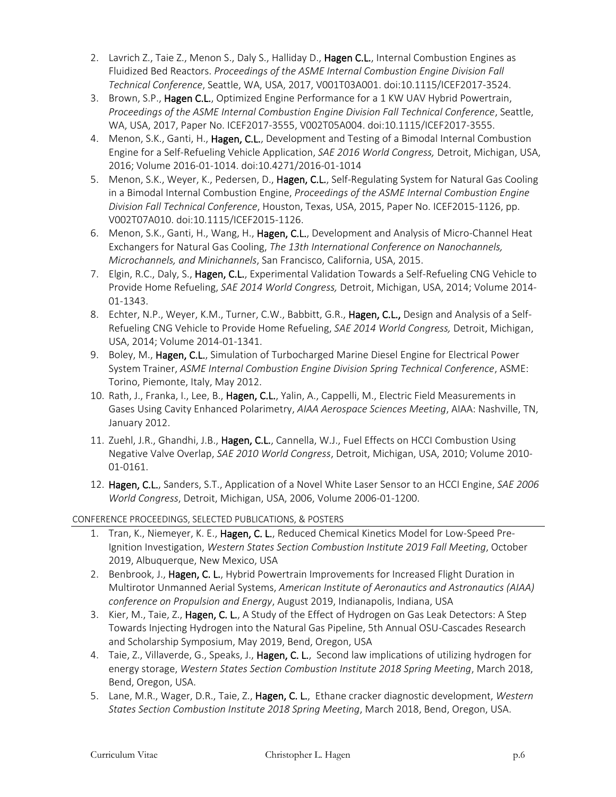- 2. Lavrich Z., Taie Z., Menon S., Daly S., Halliday D., Hagen C.L., Internal Combustion Engines as Fluidized Bed Reactors. *Proceedings of the ASME Internal Combustion Engine Division Fall Technical Conference*, Seattle, WA, USA, 2017, V001T03A001. doi:10.1115/ICEF2017-3524.
- 3. Brown, S.P., Hagen C.L., Optimized Engine Performance for a 1 KW UAV Hybrid Powertrain, *Proceedings of the ASME Internal Combustion Engine Division Fall Technical Conference*, Seattle, WA, USA, 2017, Paper No. ICEF2017-3555, V002T05A004. doi:10.1115/ICEF2017-3555.
- 4. Menon, S.K., Ganti, H., Hagen, C.L., Development and Testing of a Bimodal Internal Combustion Engine for a Self-Refueling Vehicle Application, *SAE 2016 World Congress,* Detroit, Michigan, USA, 2016; Volume 2016-01-1014. doi:10.4271/2016-01-1014
- 5. Menon, S.K., Weyer, K., Pedersen, D., Hagen, C.L., Self-Regulating System for Natural Gas Cooling in a Bimodal Internal Combustion Engine, *Proceedings of the ASME Internal Combustion Engine Division Fall Technical Conference*, Houston, Texas, USA, 2015, Paper No. ICEF2015-1126, pp. V002T07A010. doi:10.1115/ICEF2015-1126.
- 6. Menon, S.K., Ganti, H., Wang, H., Hagen, C.L., Development and Analysis of Micro-Channel Heat Exchangers for Natural Gas Cooling, *The 13th International Conference on Nanochannels, Microchannels, and Minichannels*, San Francisco, California, USA, 2015.
- 7. Elgin, R.C., Daly, S., Hagen, C.L., Experimental Validation Towards a Self-Refueling CNG Vehicle to Provide Home Refueling, *SAE 2014 World Congress,* Detroit, Michigan, USA, 2014; Volume 2014- 01-1343.
- 8. Echter, N.P., Weyer, K.M., Turner, C.W., Babbitt, G.R., Hagen, C.L., Design and Analysis of a Self-Refueling CNG Vehicle to Provide Home Refueling, *SAE 2014 World Congress,* Detroit, Michigan, USA, 2014; Volume 2014-01-1341.
- 9. Boley, M., Hagen, C.L., Simulation of Turbocharged Marine Diesel Engine for Electrical Power System Trainer, *ASME Internal Combustion Engine Division Spring Technical Conference*, ASME: Torino, Piemonte, Italy, May 2012.
- 10. Rath, J., Franka, I., Lee, B., Hagen, C.L., Yalin, A., Cappelli, M., Electric Field Measurements in Gases Using Cavity Enhanced Polarimetry, *AIAA Aerospace Sciences Meeting*, AIAA: Nashville, TN, January 2012.
- 11. Zuehl, J.R., Ghandhi, J.B., Hagen, C.L., Cannella, W.J., Fuel Effects on HCCI Combustion Using Negative Valve Overlap, *SAE 2010 World Congress*, Detroit, Michigan, USA, 2010; Volume 2010- 01-0161.
- 12. Hagen, C.L., Sanders, S.T., Application of a Novel White Laser Sensor to an HCCI Engine, *SAE 2006 World Congress*, Detroit, Michigan, USA, 2006, Volume 2006-01-1200.

CONFERENCE PROCEEDINGS, SELECTED PUBLICATIONS, & POSTERS

- 1. Tran, K., Niemeyer, K. E., Hagen, C. L., Reduced Chemical Kinetics Model for Low-Speed Pre-Ignition Investigation, *Western States Section Combustion Institute 2019 Fall Meeting*, October 2019, Albuquerque, New Mexico, USA
- 2. Benbrook, J., Hagen, C. L., Hybrid Powertrain Improvements for Increased Flight Duration in Multirotor Unmanned Aerial Systems, *American Institute of Aeronautics and Astronautics (AIAA) conference on Propulsion and Energy*, August 2019, Indianapolis, Indiana, USA
- 3. Kier, M., Taie, Z., Hagen, C. L., A Study of the Effect of Hydrogen on Gas Leak Detectors: A Step Towards Injecting Hydrogen into the Natural Gas Pipeline, 5th Annual OSU-Cascades Research and Scholarship Symposium, May 2019, Bend, Oregon, USA
- 4. Taie, Z., Villaverde, G., Speaks, J., Hagen, C. L., Second law implications of utilizing hydrogen for energy storage, *Western States Section Combustion Institute 2018 Spring Meeting*, March 2018, Bend, Oregon, USA.
- 5. Lane, M.R., Wager, D.R., Taie, Z., Hagen, C. L., Ethane cracker diagnostic development, *Western States Section Combustion Institute 2018 Spring Meeting*, March 2018, Bend, Oregon, USA.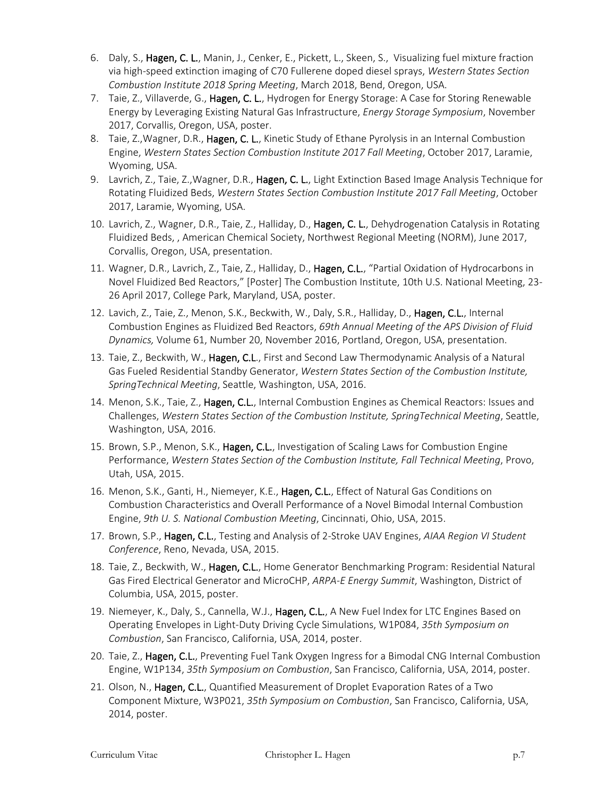- 6. Daly, S., Hagen, C. L., Manin, J., Cenker, E., Pickett, L., Skeen, S., Visualizing fuel mixture fraction via high-speed extinction imaging of C70 Fullerene doped diesel sprays, *Western States Section Combustion Institute 2018 Spring Meeting*, March 2018, Bend, Oregon, USA.
- 7. Taie, Z., Villaverde, G., Hagen, C. L., Hydrogen for Energy Storage: A Case for Storing Renewable Energy by Leveraging Existing Natural Gas Infrastructure, *Energy Storage Symposium*, November 2017, Corvallis, Oregon, USA, poster.
- 8. Taie, Z., Wagner, D.R., Hagen, C. L., Kinetic Study of Ethane Pyrolysis in an Internal Combustion Engine, *Western States Section Combustion Institute 2017 Fall Meeting*, October 2017, Laramie, Wyoming, USA.
- 9. Lavrich, Z., Taie, Z., Wagner, D.R., Hagen, C. L., Light Extinction Based Image Analysis Technique for Rotating Fluidized Beds, *Western States Section Combustion Institute 2017 Fall Meeting*, October 2017, Laramie, Wyoming, USA.
- 10. Lavrich, Z., Wagner, D.R., Taie, Z., Halliday, D., Hagen, C. L., Dehydrogenation Catalysis in Rotating Fluidized Beds, , American Chemical Society, Northwest Regional Meeting (NORM), June 2017, Corvallis, Oregon, USA, presentation.
- 11. Wagner, D.R., Lavrich, Z., Taie, Z., Halliday, D., Hagen, C.L., "Partial Oxidation of Hydrocarbons in Novel Fluidized Bed Reactors," [Poster] The Combustion Institute, 10th U.S. National Meeting, 23- 26 April 2017, College Park, Maryland, USA, poster.
- 12. Lavich, Z., Taie, Z., Menon, S.K., Beckwith, W., Daly, S.R., Halliday, D., Hagen, C.L., Internal Combustion Engines as Fluidized Bed Reactors, *69th Annual Meeting of the APS Division of Fluid Dynamics,* Volume 61, Number 20, November 2016, Portland, Oregon, USA, presentation.
- 13. Taie, Z., Beckwith, W., Hagen, C.L., First and Second Law Thermodynamic Analysis of a Natural Gas Fueled Residential Standby Generator, *Western States Section of the Combustion Institute, SpringTechnical Meeting*, Seattle, Washington, USA, 2016.
- 14. Menon, S.K., Taie, Z., Hagen, C.L., Internal Combustion Engines as Chemical Reactors: Issues and Challenges, *Western States Section of the Combustion Institute, SpringTechnical Meeting*, Seattle, Washington, USA, 2016.
- 15. Brown, S.P., Menon, S.K., Hagen, C.L., Investigation of Scaling Laws for Combustion Engine Performance, *Western States Section of the Combustion Institute, Fall Technical Meeting*, Provo, Utah, USA, 2015.
- 16. Menon, S.K., Ganti, H., Niemeyer, K.E., Hagen, C.L., Effect of Natural Gas Conditions on Combustion Characteristics and Overall Performance of a Novel Bimodal Internal Combustion Engine, *9th U. S. National Combustion Meeting*, Cincinnati, Ohio, USA, 2015.
- 17. Brown, S.P., Hagen, C.L., Testing and Analysis of 2-Stroke UAV Engines, *AIAA Region VI Student Conference*, Reno, Nevada, USA, 2015.
- 18. Taie, Z., Beckwith, W., Hagen, C.L., Home Generator Benchmarking Program: Residential Natural Gas Fired Electrical Generator and MicroCHP, *ARPA-E Energy Summit*, Washington, District of Columbia, USA, 2015, poster.
- 19. Niemeyer, K., Daly, S., Cannella, W.J., Hagen, C.L., A New Fuel Index for LTC Engines Based on Operating Envelopes in Light-Duty Driving Cycle Simulations, W1P084, *35th Symposium on Combustion*, San Francisco, California, USA, 2014, poster.
- 20. Taie, Z., Hagen, C.L., Preventing Fuel Tank Oxygen Ingress for a Bimodal CNG Internal Combustion Engine, W1P134, *35th Symposium on Combustion*, San Francisco, California, USA, 2014, poster.
- 21. Olson, N., Hagen, C.L., Quantified Measurement of Droplet Evaporation Rates of a Two Component Mixture, W3P021, *35th Symposium on Combustion*, San Francisco, California, USA, 2014, poster.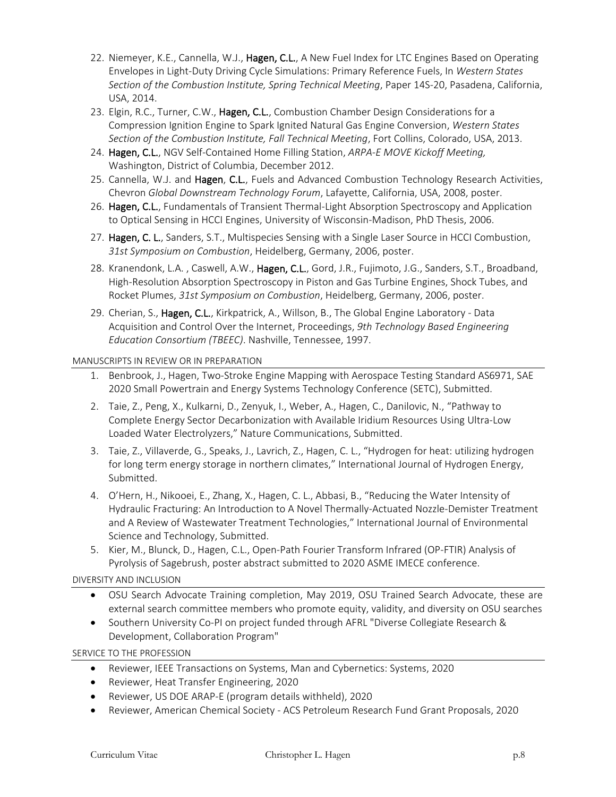- 22. Niemeyer, K.E., Cannella, W.J., Hagen, C.L., A New Fuel Index for LTC Engines Based on Operating Envelopes in Light-Duty Driving Cycle Simulations: Primary Reference Fuels, In *Western States Section of the Combustion Institute, Spring Technical Meeting*, Paper 14S-20, Pasadena, California, USA, 2014.
- 23. Elgin, R.C., Turner, C.W., Hagen, C.L., Combustion Chamber Design Considerations for a Compression Ignition Engine to Spark Ignited Natural Gas Engine Conversion, *Western States Section of the Combustion Institute, Fall Technical Meeting*, Fort Collins, Colorado, USA, 2013.
- 24. Hagen, C.L., NGV Self-Contained Home Filling Station, *ARPA-E MOVE Kickoff Meeting,*  Washington, District of Columbia, December 2012.
- 25. Cannella, W.J. and Hagen, C.L., Fuels and Advanced Combustion Technology Research Activities, Chevron *Global Downstream Technology Forum*, Lafayette, California, USA, 2008, poster.
- 26. Hagen, C.L., Fundamentals of Transient Thermal-Light Absorption Spectroscopy and Application to Optical Sensing in HCCI Engines, University of Wisconsin-Madison, PhD Thesis, 2006.
- 27. Hagen, C. L., Sanders, S.T., Multispecies Sensing with a Single Laser Source in HCCI Combustion, *31st Symposium on Combustion*, Heidelberg, Germany, 2006, poster.
- 28. Kranendonk, L.A., Caswell, A.W., Hagen, C.L., Gord, J.R., Fujimoto, J.G., Sanders, S.T., Broadband, High-Resolution Absorption Spectroscopy in Piston and Gas Turbine Engines, Shock Tubes, and Rocket Plumes, *31st Symposium on Combustion*, Heidelberg, Germany, 2006, poster.
- 29. Cherian, S., Hagen, C.L., Kirkpatrick, A., Willson, B., The Global Engine Laboratory Data Acquisition and Control Over the Internet, Proceedings, *9th Technology Based Engineering Education Consortium (TBEEC)*. Nashville, Tennessee, 1997.

# MANUSCRIPTS IN REVIEW OR IN PREPARATION

- 1. Benbrook, J., Hagen, Two-Stroke Engine Mapping with Aerospace Testing Standard AS6971, SAE 2020 Small Powertrain and Energy Systems Technology Conference (SETC), Submitted.
- 2. Taie, Z., Peng, X., Kulkarni, D., Zenyuk, I., Weber, A., Hagen, C., Danilovic, N., "Pathway to Complete Energy Sector Decarbonization with Available Iridium Resources Using Ultra-Low Loaded Water Electrolyzers," Nature Communications, Submitted.
- 3. Taie, Z., Villaverde, G., Speaks, J., Lavrich, Z., Hagen, C. L., "Hydrogen for heat: utilizing hydrogen for long term energy storage in northern climates," International Journal of Hydrogen Energy, Submitted.
- 4. O'Hern, H., Nikooei, E., Zhang, X., Hagen, C. L., Abbasi, B., "Reducing the Water Intensity of Hydraulic Fracturing: An Introduction to A Novel Thermally-Actuated Nozzle-Demister Treatment and A Review of Wastewater Treatment Technologies," International Journal of Environmental Science and Technology, Submitted.
- 5. Kier, M., Blunck, D., Hagen, C.L., Open-Path Fourier Transform Infrared (OP-FTIR) Analysis of Pyrolysis of Sagebrush, poster abstract submitted to 2020 ASME IMECE conference.

# DIVERSITY AND INCLUSION

- OSU Search Advocate Training completion, May 2019, OSU Trained Search Advocate, these are external search committee members who promote equity, validity, and diversity on OSU searches
- Southern University Co-PI on project funded through AFRL "Diverse Collegiate Research & Development, Collaboration Program"

SERVICE TO THE PROFESSION

- Reviewer, IEEE Transactions on Systems, Man and Cybernetics: Systems, 2020
- Reviewer, Heat Transfer Engineering, 2020
- Reviewer, US DOE ARAP-E (program details withheld), 2020
- Reviewer, American Chemical Society ACS Petroleum Research Fund Grant Proposals, 2020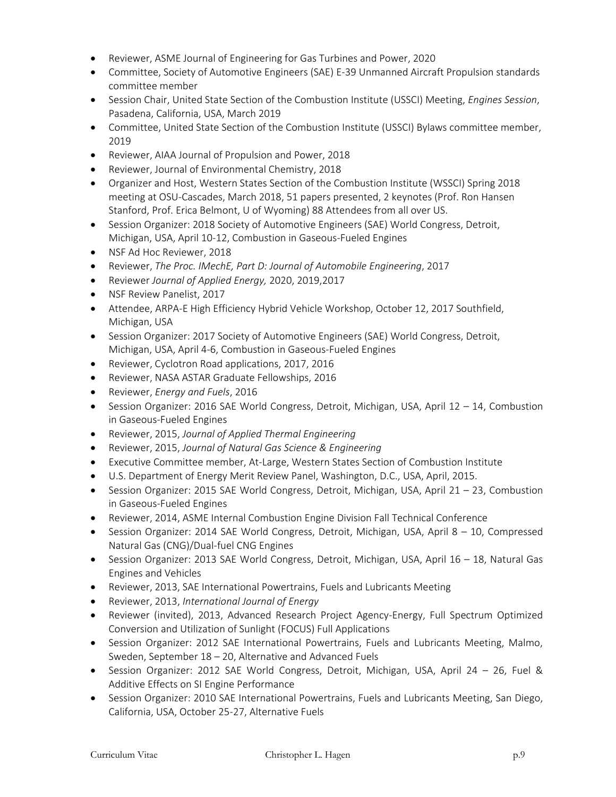- Reviewer, ASME Journal of Engineering for Gas Turbines and Power, 2020
- Committee, Society of Automotive Engineers (SAE) E-39 Unmanned Aircraft Propulsion standards committee member
- Session Chair, United State Section of the Combustion Institute (USSCI) Meeting, *Engines Session*, Pasadena, California, USA, March 2019
- Committee, United State Section of the Combustion Institute (USSCI) Bylaws committee member, 2019
- Reviewer, AIAA Journal of Propulsion and Power, 2018
- Reviewer, Journal of Environmental Chemistry, 2018
- Organizer and Host, Western States Section of the Combustion Institute (WSSCI) Spring 2018 meeting at OSU-Cascades, March 2018, 51 papers presented, 2 keynotes (Prof. Ron Hansen Stanford, Prof. Erica Belmont, U of Wyoming) 88 Attendees from all over US.
- Session Organizer: 2018 Society of Automotive Engineers (SAE) World Congress, Detroit, Michigan, USA, April 10-12, Combustion in Gaseous-Fueled Engines
- NSF Ad Hoc Reviewer, 2018
- Reviewer, *The Proc. IMechE, Part D: Journal of Automobile Engineering*, 2017
- Reviewer *Journal of Applied Energy,* 2020, 2019,2017
- NSF Review Panelist, 2017
- Attendee, ARPA-E High Efficiency Hybrid Vehicle Workshop, October 12, 2017 Southfield, Michigan, USA
- Session Organizer: 2017 Society of Automotive Engineers (SAE) World Congress, Detroit, Michigan, USA, April 4-6, Combustion in Gaseous-Fueled Engines
- Reviewer, Cyclotron Road applications, 2017, 2016
- Reviewer, NASA ASTAR Graduate Fellowships, 2016
- Reviewer, *Energy and Fuels*, 2016
- Session Organizer: 2016 SAE World Congress, Detroit, Michigan, USA, April 12 14, Combustion in Gaseous-Fueled Engines
- Reviewer, 2015, *Journal of Applied Thermal Engineering*
- Reviewer, 2015, *Journal of Natural Gas Science & Engineering*
- Executive Committee member, At-Large, Western States Section of Combustion Institute
- U.S. Department of Energy Merit Review Panel, Washington, D.C., USA, April, 2015.
- Session Organizer: 2015 SAE World Congress, Detroit, Michigan, USA, April 21 23, Combustion in Gaseous-Fueled Engines
- Reviewer, 2014, ASME Internal Combustion Engine Division Fall Technical Conference
- Session Organizer: 2014 SAE World Congress, Detroit, Michigan, USA, April 8 10, Compressed Natural Gas (CNG)/Dual-fuel CNG Engines
- Session Organizer: 2013 SAE World Congress, Detroit, Michigan, USA, April 16 18, Natural Gas Engines and Vehicles
- Reviewer, 2013, SAE International Powertrains, Fuels and Lubricants Meeting
- Reviewer, 2013, *International Journal of Energy*
- Reviewer (invited), 2013, Advanced Research Project Agency-Energy, Full Spectrum Optimized Conversion and Utilization of Sunlight (FOCUS) Full Applications
- Session Organizer: 2012 SAE International Powertrains, Fuels and Lubricants Meeting, Malmo, Sweden, September 18 – 20, Alternative and Advanced Fuels
- Session Organizer: 2012 SAE World Congress, Detroit, Michigan, USA, April 24 26, Fuel & Additive Effects on SI Engine Performance
- Session Organizer: 2010 SAE International Powertrains, Fuels and Lubricants Meeting, San Diego, California, USA, October 25-27, Alternative Fuels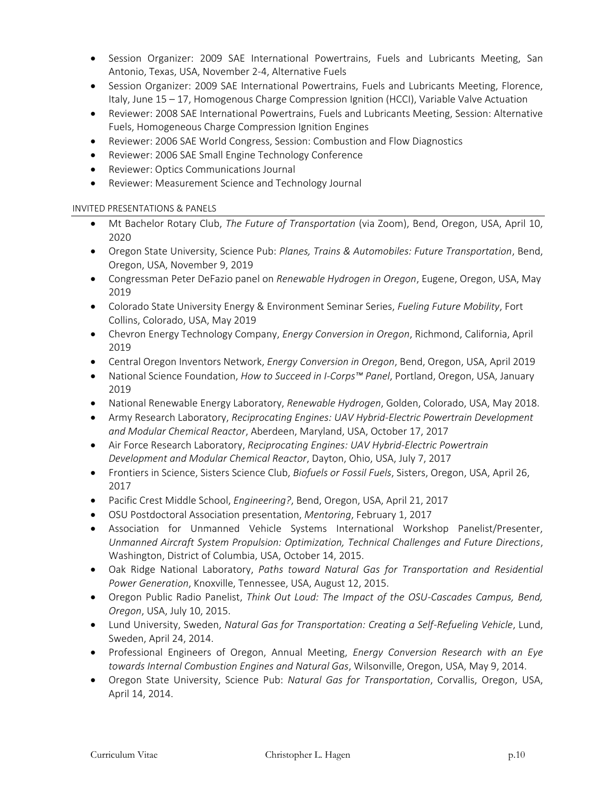- Session Organizer: 2009 SAE International Powertrains, Fuels and Lubricants Meeting, San Antonio, Texas, USA, November 2-4, Alternative Fuels
- Session Organizer: 2009 SAE International Powertrains, Fuels and Lubricants Meeting, Florence, Italy, June 15 – 17, Homogenous Charge Compression Ignition (HCCI), Variable Valve Actuation
- Reviewer: 2008 SAE International Powertrains, Fuels and Lubricants Meeting, Session: Alternative Fuels, Homogeneous Charge Compression Ignition Engines
- Reviewer: 2006 SAE World Congress, Session: Combustion and Flow Diagnostics
- Reviewer: 2006 SAE Small Engine Technology Conference
- Reviewer: Optics Communications Journal
- Reviewer: Measurement Science and Technology Journal

# INVITED PRESENTATIONS & PANELS

- Mt Bachelor Rotary Club, *The Future of Transportation* (via Zoom), Bend, Oregon, USA, April 10, 2020
- Oregon State University, Science Pub: *Planes, Trains & Automobiles: Future Transportation*, Bend, Oregon, USA, November 9, 2019
- Congressman Peter DeFazio panel on *Renewable Hydrogen in Oregon*, Eugene, Oregon, USA, May 2019
- Colorado State University Energy & Environment Seminar Series, *Fueling Future Mobility*, Fort Collins, Colorado, USA, May 2019
- Chevron Energy Technology Company, *Energy Conversion in Oregon*, Richmond, California, April 2019
- Central Oregon Inventors Network, *Energy Conversion in Oregon*, Bend, Oregon, USA, April 2019
- National Science Foundation, *How to Succeed in I-Corps™ Panel*, Portland, Oregon, USA, January 2019
- National Renewable Energy Laboratory, *Renewable Hydrogen*, Golden, Colorado, USA, May 2018.
- Army Research Laboratory, *Reciprocating Engines: UAV Hybrid-Electric Powertrain Development and Modular Chemical Reactor*, Aberdeen, Maryland, USA, October 17, 2017
- Air Force Research Laboratory, *Reciprocating Engines: UAV Hybrid-Electric Powertrain Development and Modular Chemical Reactor*, Dayton, Ohio, USA, July 7, 2017
- Frontiers in Science, Sisters Science Club, *Biofuels or Fossil Fuels*, Sisters, Oregon, USA, April 26, 2017
- Pacific Crest Middle School, *Engineering?*, Bend, Oregon, USA, April 21, 2017
- OSU Postdoctoral Association presentation, *Mentoring*, February 1, 2017
- Association for Unmanned Vehicle Systems International Workshop Panelist/Presenter, *Unmanned Aircraft System Propulsion: Optimization, Technical Challenges and Future Directions*, Washington, District of Columbia, USA, October 14, 2015.
- Oak Ridge National Laboratory, *Paths toward Natural Gas for Transportation and Residential Power Generation*, Knoxville, Tennessee, USA, August 12, 2015.
- Oregon Public Radio Panelist, *Think Out Loud: The Impact of the OSU-Cascades Campus, Bend, Oregon*, USA, July 10, 2015.
- Lund University, Sweden, *Natural Gas for Transportation: Creating a Self-Refueling Vehicle*, Lund, Sweden, April 24, 2014.
- Professional Engineers of Oregon, Annual Meeting, *Energy Conversion Research with an Eye towards Internal Combustion Engines and Natural Gas*, Wilsonville, Oregon, USA, May 9, 2014.
- Oregon State University, Science Pub: *Natural Gas for Transportation*, Corvallis, Oregon, USA, April 14, 2014.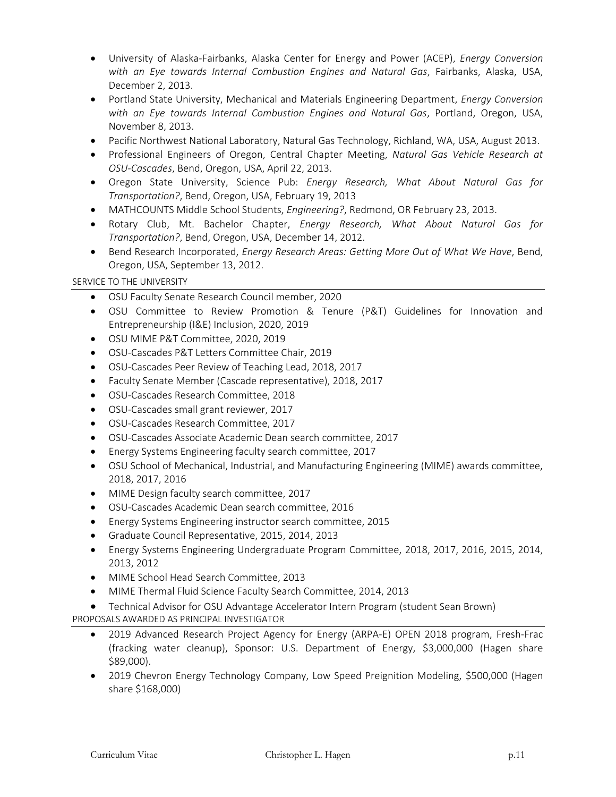- University of Alaska-Fairbanks, Alaska Center for Energy and Power (ACEP), *Energy Conversion with an Eye towards Internal Combustion Engines and Natural Gas*, Fairbanks, Alaska, USA, December 2, 2013.
- Portland State University, Mechanical and Materials Engineering Department, *Energy Conversion with an Eye towards Internal Combustion Engines and Natural Gas*, Portland, Oregon, USA, November 8, 2013.
- Pacific Northwest National Laboratory, Natural Gas Technology, Richland, WA, USA, August 2013.
- Professional Engineers of Oregon, Central Chapter Meeting, *Natural Gas Vehicle Research at OSU-Cascades*, Bend, Oregon, USA, April 22, 2013.
- Oregon State University, Science Pub: *Energy Research, What About Natural Gas for Transportation?*, Bend, Oregon, USA, February 19, 2013
- MATHCOUNTS Middle School Students, *Engineering?*, Redmond, OR February 23, 2013.
- Rotary Club, Mt. Bachelor Chapter, *Energy Research, What About Natural Gas for Transportation?*, Bend, Oregon, USA, December 14, 2012.
- Bend Research Incorporated, *Energy Research Areas: Getting More Out of What We Have*, Bend, Oregon, USA, September 13, 2012.

# SERVICE TO THE UNIVERSITY

- OSU Faculty Senate Research Council member, 2020
- OSU Committee to Review Promotion & Tenure (P&T) Guidelines for Innovation and Entrepreneurship (I&E) Inclusion, 2020, 2019
- OSU MIME P&T Committee, 2020, 2019
- OSU-Cascades P&T Letters Committee Chair, 2019
- OSU-Cascades Peer Review of Teaching Lead, 2018, 2017
- Faculty Senate Member (Cascade representative), 2018, 2017
- OSU-Cascades Research Committee, 2018
- OSU-Cascades small grant reviewer, 2017
- OSU-Cascades Research Committee, 2017
- OSU-Cascades Associate Academic Dean search committee, 2017
- Energy Systems Engineering faculty search committee, 2017
- OSU School of Mechanical, Industrial, and Manufacturing Engineering (MIME) awards committee, 2018, 2017, 2016
- MIME Design faculty search committee, 2017
- OSU-Cascades Academic Dean search committee, 2016
- Energy Systems Engineering instructor search committee, 2015
- Graduate Council Representative, 2015, 2014, 2013
- Energy Systems Engineering Undergraduate Program Committee, 2018, 2017, 2016, 2015, 2014, 2013, 2012
- MIME School Head Search Committee, 2013
- MIME Thermal Fluid Science Faculty Search Committee, 2014, 2013
- Technical Advisor for OSU Advantage Accelerator Intern Program (student Sean Brown) PROPOSALS AWARDED AS PRINCIPAL INVESTIGATOR
	- 2019 Advanced Research Project Agency for Energy (ARPA-E) OPEN 2018 program, Fresh-Frac (fracking water cleanup), Sponsor: U.S. Department of Energy, \$3,000,000 (Hagen share \$89,000).
	- 2019 Chevron Energy Technology Company, Low Speed Preignition Modeling, \$500,000 (Hagen share \$168,000)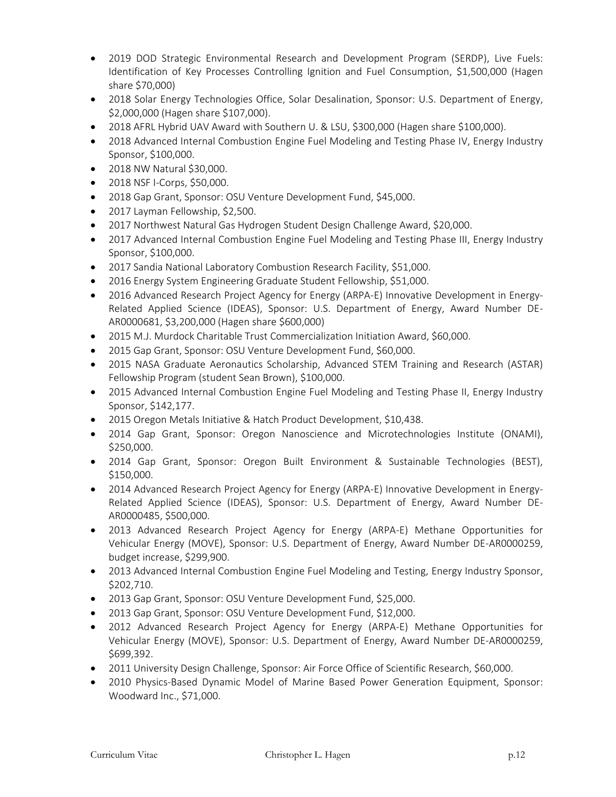- 2019 DOD Strategic Environmental Research and Development Program (SERDP), Live Fuels: Identification of Key Processes Controlling Ignition and Fuel Consumption, \$1,500,000 (Hagen share \$70,000)
- 2018 Solar Energy Technologies Office, Solar Desalination, Sponsor: U.S. Department of Energy, \$2,000,000 (Hagen share \$107,000).
- 2018 AFRL Hybrid UAV Award with Southern U. & LSU, \$300,000 (Hagen share \$100,000).
- 2018 Advanced Internal Combustion Engine Fuel Modeling and Testing Phase IV, Energy Industry Sponsor, \$100,000.
- 2018 NW Natural \$30,000.
- 2018 NSF I-Corps, \$50,000.
- 2018 Gap Grant, Sponsor: OSU Venture Development Fund, \$45,000.
- 2017 Layman Fellowship, \$2,500.
- 2017 Northwest Natural Gas Hydrogen Student Design Challenge Award, \$20,000.
- 2017 Advanced Internal Combustion Engine Fuel Modeling and Testing Phase III, Energy Industry Sponsor, \$100,000.
- 2017 Sandia National Laboratory Combustion Research Facility, \$51,000.
- 2016 Energy System Engineering Graduate Student Fellowship, \$51,000.
- 2016 Advanced Research Project Agency for Energy (ARPA-E) Innovative Development in Energy-Related Applied Science (IDEAS), Sponsor: U.S. Department of Energy, Award Number DE-AR0000681, \$3,200,000 (Hagen share \$600,000)
- 2015 M.J. Murdock Charitable Trust Commercialization Initiation Award, \$60,000.
- 2015 Gap Grant, Sponsor: OSU Venture Development Fund, \$60,000.
- 2015 NASA Graduate Aeronautics Scholarship, Advanced STEM Training and Research (ASTAR) Fellowship Program (student Sean Brown), \$100,000.
- 2015 Advanced Internal Combustion Engine Fuel Modeling and Testing Phase II, Energy Industry Sponsor, \$142,177.
- 2015 Oregon Metals Initiative & Hatch Product Development, \$10,438.
- 2014 Gap Grant, Sponsor: Oregon Nanoscience and Microtechnologies Institute (ONAMI), \$250,000.
- 2014 Gap Grant, Sponsor: Oregon Built Environment & Sustainable Technologies (BEST), \$150,000.
- 2014 Advanced Research Project Agency for Energy (ARPA-E) Innovative Development in Energy-Related Applied Science (IDEAS), Sponsor: U.S. Department of Energy, Award Number DE-AR0000485, \$500,000.
- 2013 Advanced Research Project Agency for Energy (ARPA-E) Methane Opportunities for Vehicular Energy (MOVE), Sponsor: U.S. Department of Energy, Award Number DE-AR0000259, budget increase, \$299,900.
- 2013 Advanced Internal Combustion Engine Fuel Modeling and Testing, Energy Industry Sponsor, \$202,710.
- 2013 Gap Grant, Sponsor: OSU Venture Development Fund, \$25,000.
- 2013 Gap Grant, Sponsor: OSU Venture Development Fund, \$12,000.
- 2012 Advanced Research Project Agency for Energy (ARPA-E) Methane Opportunities for Vehicular Energy (MOVE), Sponsor: U.S. Department of Energy, Award Number DE-AR0000259, \$699,392.
- 2011 University Design Challenge, Sponsor: Air Force Office of Scientific Research, \$60,000.
- 2010 Physics-Based Dynamic Model of Marine Based Power Generation Equipment, Sponsor: Woodward Inc., \$71,000.